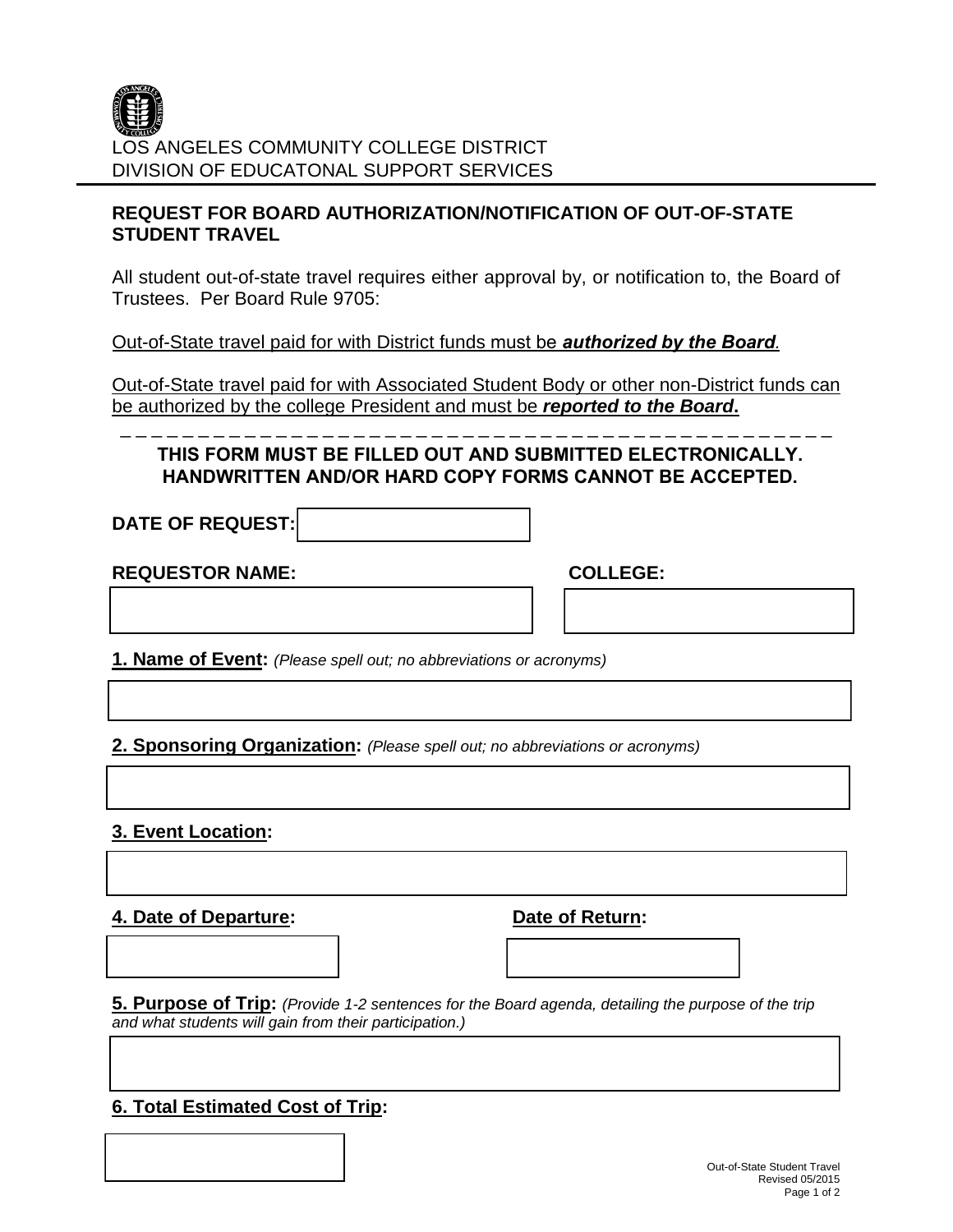

## **REQUEST FOR BOARD AUTHORIZATION/NOTIFICATION OF OUT-OF-STATE STUDENT TRAVEL**

All student out-of-state travel requires either approval by, or notification to, the Board of Trustees. Per Board Rule 9705:

Out-of-State travel paid for with District funds must be *authorized by the Board.*

Out-of-State travel paid for with Associated Student Body or other non-District funds can be authorized by the college President and must be *reported to the Board***.** 

\_ \_ \_ \_ \_ \_ \_ \_ \_ \_ \_ \_ \_ \_ \_ \_ \_ \_ \_ \_ \_ \_ \_ \_ \_ \_ \_ \_ \_ \_ \_ \_ \_ \_ \_ \_ \_ \_ \_ \_ \_ \_ \_ \_ \_ \_

**THIS FORM MUST BE FILLED OUT AND SUBMITTED ELECTRONICALLY. HANDWRITTEN AND/OR HARD COPY FORMS CANNOT BE ACCEPTED.**

**DATE OF REQUEST:**

**REQUESTOR NAME: COLLEGE:**

**1. Name of Event:** *(Please spell out; no abbreviations or acronyms)*

**2. Sponsoring Organization:** *(Please spell out; no abbreviations or acronyms)*

**3. Event Location:**

**4. Date of Departure: Date of Return:**

**5. Purpose of Trip:** *(Provide 1-2 sentences for the Board agenda, detailing the purpose of the trip and what students will gain from their participation.)*

## **6. Total Estimated Cost of Trip:**